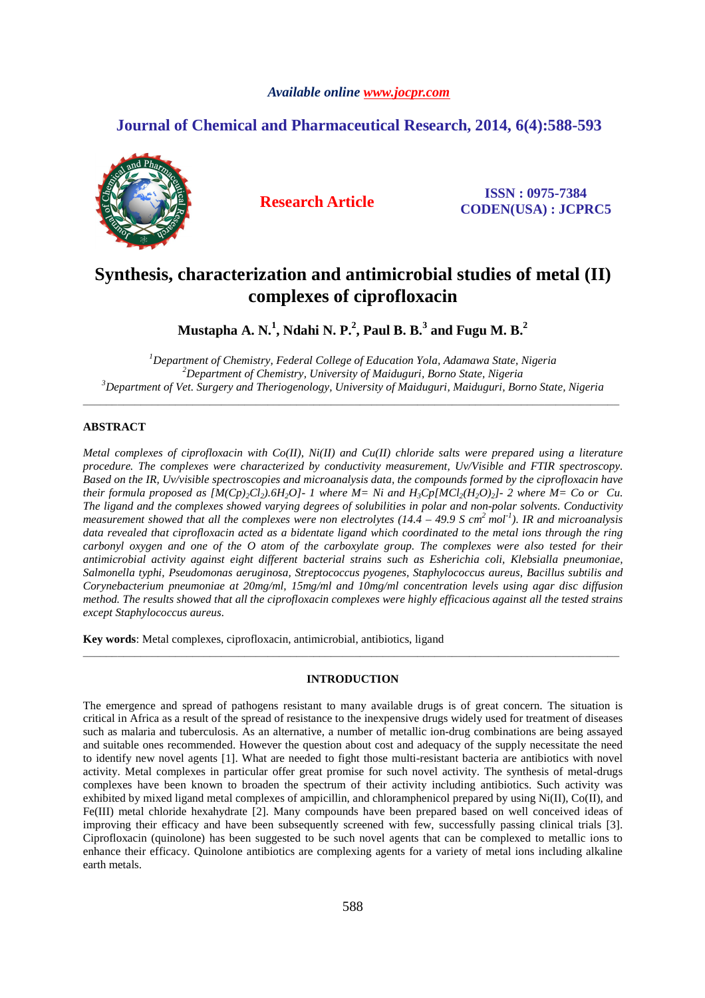### *Available online www.jocpr.com*

## **Journal of Chemical and Pharmaceutical Research, 2014, 6(4):588-593**



**Research Article ISSN : 0975-7384 CODEN(USA) : JCPRC5**

# **Synthesis, characterization and antimicrobial studies of metal (II) complexes of ciprofloxacin**

 $M$ ustapha A. N. $^1$ , Ndahi N. P. $^2$ , Paul B. B. $^3$  and Fugu M. B. $^2$ 

*<sup>1</sup>Department of Chemistry, Federal College of Education Yola, Adamawa State, Nigeria <sup>2</sup>Department of Chemistry, University of Maiduguri, Borno State, Nigeria <sup>3</sup>Department of Vet. Surgery and Theriogenology, University of Maiduguri, Maiduguri, Borno State, Nigeria* 

\_\_\_\_\_\_\_\_\_\_\_\_\_\_\_\_\_\_\_\_\_\_\_\_\_\_\_\_\_\_\_\_\_\_\_\_\_\_\_\_\_\_\_\_\_\_\_\_\_\_\_\_\_\_\_\_\_\_\_\_\_\_\_\_\_\_\_\_\_\_\_\_\_\_\_\_\_\_\_\_\_\_\_\_\_\_\_\_\_\_\_\_\_

### **ABSTRACT**

*Metal complexes of ciprofloxacin with Co(II), Ni(II) and Cu(II) chloride salts were prepared using a literature procedure. The complexes were characterized by conductivity measurement, Uv/Visible and FTIR spectroscopy. Based on the IR, Uv/visible spectroscopies and microanalysis data, the compounds formed by the ciprofloxacin have their formula proposed as*  $[M(Cp)_{2}Cl_{2})$ *.6H<sub>2</sub>O]-1 where M= Ni and*  $H_{3}Cp[MCl_{2}(H_{2}O)_{2}]$ *-2 where M= Co or Cu. The ligand and the complexes showed varying degrees of solubilities in polar and non-polar solvents. Conductivity measurement showed that all the complexes were non electrolytes (14.4 – 49.9 S cm<sup>2</sup>mol-1). IR and microanalysis data revealed that ciprofloxacin acted as a bidentate ligand which coordinated to the metal ions through the ring carbonyl oxygen and one of the O atom of the carboxylate group. The complexes were also tested for their antimicrobial activity against eight different bacterial strains such as Esherichia coli, Klebsialla pneumoniae, Salmonella typhi, Pseudomonas aeruginosa, Streptococcus pyogenes, Staphylococcus aureus, Bacillus subtilis and Corynebacterium pneumoniae at 20mg/ml, 15mg/ml and 10mg/ml concentration levels using agar disc diffusion method. The results showed that all the ciprofloxacin complexes were highly efficacious against all the tested strains except Staphylococcus aureus.* 

**Key words**: Metal complexes, ciprofloxacin, antimicrobial, antibiotics, ligand

#### **INTRODUCTION**

\_\_\_\_\_\_\_\_\_\_\_\_\_\_\_\_\_\_\_\_\_\_\_\_\_\_\_\_\_\_\_\_\_\_\_\_\_\_\_\_\_\_\_\_\_\_\_\_\_\_\_\_\_\_\_\_\_\_\_\_\_\_\_\_\_\_\_\_\_\_\_\_\_\_\_\_\_\_\_\_\_\_\_\_\_\_\_\_\_\_\_\_\_

The emergence and spread of pathogens resistant to many available drugs is of great concern. The situation is critical in Africa as a result of the spread of resistance to the inexpensive drugs widely used for treatment of diseases such as malaria and tuberculosis. As an alternative, a number of metallic ion-drug combinations are being assayed and suitable ones recommended. However the question about cost and adequacy of the supply necessitate the need to identify new novel agents [1]. What are needed to fight those multi-resistant bacteria are antibiotics with novel activity. Metal complexes in particular offer great promise for such novel activity. The synthesis of metal-drugs complexes have been known to broaden the spectrum of their activity including antibiotics. Such activity was exhibited by mixed ligand metal complexes of ampicillin, and chloramphenicol prepared by using Ni(II), Co(II), and Fe(III) metal chloride hexahydrate [2]. Many compounds have been prepared based on well conceived ideas of improving their efficacy and have been subsequently screened with few, successfully passing clinical trials [3]. Ciprofloxacin (quinolone) has been suggested to be such novel agents that can be complexed to metallic ions to enhance their efficacy. Quinolone antibiotics are complexing agents for a variety of metal ions including alkaline earth metals.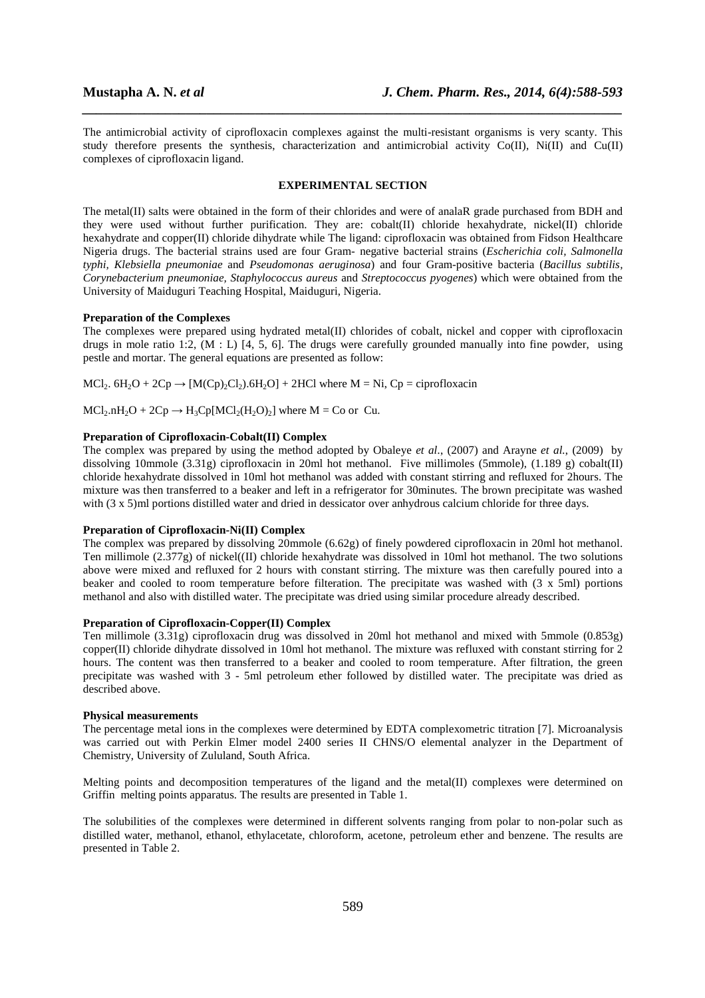The antimicrobial activity of ciprofloxacin complexes against the multi-resistant organisms is very scanty. This study therefore presents the synthesis, characterization and antimicrobial activity Co(II), Ni(II) and Cu(II) complexes of ciprofloxacin ligand.

*\_\_\_\_\_\_\_\_\_\_\_\_\_\_\_\_\_\_\_\_\_\_\_\_\_\_\_\_\_\_\_\_\_\_\_\_\_\_\_\_\_\_\_\_\_\_\_\_\_\_\_\_\_\_\_\_\_\_\_\_\_\_\_\_\_\_\_\_\_\_\_\_\_\_\_\_\_\_*

#### **EXPERIMENTAL SECTION**

The metal(II) salts were obtained in the form of their chlorides and were of analaR grade purchased from BDH and they were used without further purification. They are: cobalt(II) chloride hexahydrate, nickel(II) chloride hexahydrate and copper(II) chloride dihydrate while The ligand: ciprofloxacin was obtained from Fidson Healthcare Nigeria drugs. The bacterial strains used are four Gram- negative bacterial strains (*Escherichia coli, Salmonella typhi, Klebsiella pneumoniae* and *Pseudomonas aeruginosa*) and four Gram-positive bacteria (*Bacillus subtilis, Corynebacterium pneumoniae, Staphylococcus aureus* and *Streptococcus pyogenes*) which were obtained from the University of Maiduguri Teaching Hospital, Maiduguri, Nigeria.

#### **Preparation of the Complexes**

The complexes were prepared using hydrated metal(II) chlorides of cobalt, nickel and copper with ciprofloxacin drugs in mole ratio 1:2,  $(M : L)$  [4, 5, 6]. The drugs were carefully grounded manually into fine powder, using pestle and mortar. The general equations are presented as follow:

 $MCl_2$ .  $6H_2O + 2Cp \rightarrow [M(Cp)_2Cl_2)$ .  $6H_2O$  + 2HCl where M = Ni, Cp = ciprofloxacin

 $MCl_2.nH_2O + 2Cp \rightarrow H_3Cp[MCl_2(H_2O)_2]$  where  $M = Co$  or Cu.

#### **Preparation of Ciprofloxacin-Cobalt(II) Complex**

The complex was prepared by using the method adopted by Obaleye *et al.*, (2007) and Arayne *et al.*, (2009) by dissolving 10mmole (3.31g) ciprofloxacin in 20ml hot methanol. Five millimoles (5mmole), (1.189 g) cobalt(II) chloride hexahydrate dissolved in 10ml hot methanol was added with constant stirring and refluxed for 2hours. The mixture was then transferred to a beaker and left in a refrigerator for 30minutes. The brown precipitate was washed with (3 x 5)ml portions distilled water and dried in dessicator over anhydrous calcium chloride for three days.

#### **Preparation of Ciprofloxacin-Ni(II) Complex**

The complex was prepared by dissolving 20mmole (6.62g) of finely powdered ciprofloxacin in 20ml hot methanol. Ten millimole  $(2.377g)$  of nickel $(II)$  chloride hexahydrate was dissolved in 10ml hot methanol. The two solutions above were mixed and refluxed for 2 hours with constant stirring. The mixture was then carefully poured into a beaker and cooled to room temperature before filteration. The precipitate was washed with  $(3 \times 5\text{ ml})$  portions methanol and also with distilled water. The precipitate was dried using similar procedure already described.

#### **Preparation of Ciprofloxacin-Copper(II) Complex**

Ten millimole (3.31g) ciprofloxacin drug was dissolved in 20ml hot methanol and mixed with 5mmole (0.853g) copper(II) chloride dihydrate dissolved in 10ml hot methanol. The mixture was refluxed with constant stirring for 2 hours. The content was then transferred to a beaker and cooled to room temperature. After filtration, the green precipitate was washed with 3 - 5ml petroleum ether followed by distilled water. The precipitate was dried as described above.

#### **Physical measurements**

The percentage metal ions in the complexes were determined by EDTA complexometric titration [7]. Microanalysis was carried out with Perkin Elmer model 2400 series II CHNS/O elemental analyzer in the Department of Chemistry, University of Zululand, South Africa.

Melting points and decomposition temperatures of the ligand and the metal(II) complexes were determined on Griffin melting points apparatus. The results are presented in Table 1.

The solubilities of the complexes were determined in different solvents ranging from polar to non-polar such as distilled water, methanol, ethanol, ethylacetate, chloroform, acetone, petroleum ether and benzene. The results are presented in Table 2.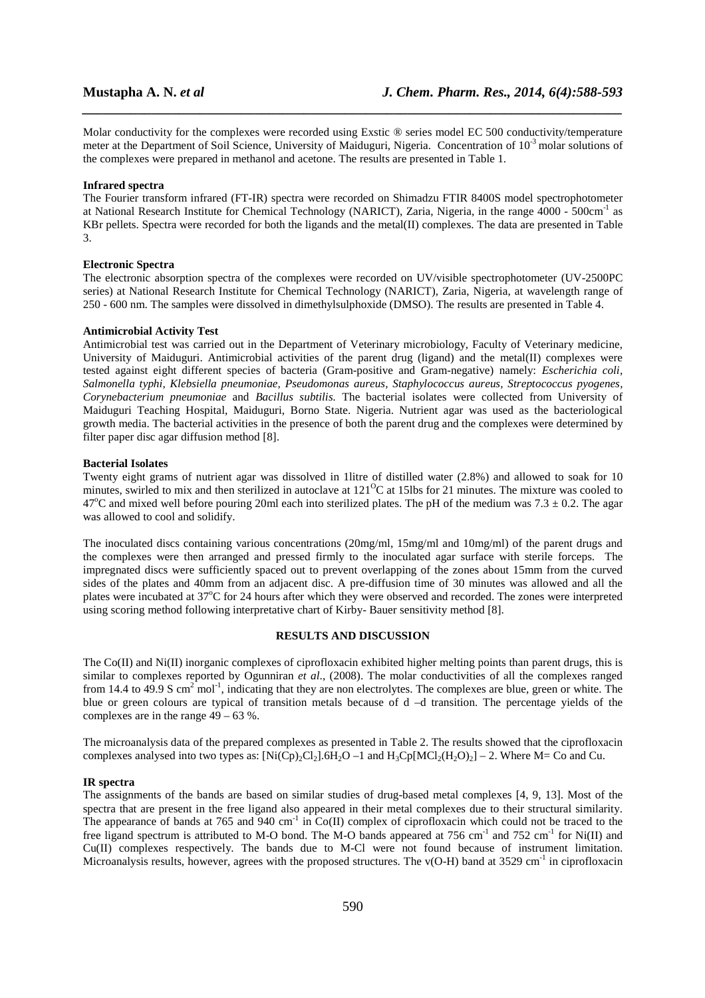Molar conductivity for the complexes were recorded using Exstic ® series model EC 500 conductivity/temperature meter at the Department of Soil Science, University of Maiduguri, Nigeria. Concentration of 10<sup>-3</sup> molar solutions of the complexes were prepared in methanol and acetone. The results are presented in Table 1.

*\_\_\_\_\_\_\_\_\_\_\_\_\_\_\_\_\_\_\_\_\_\_\_\_\_\_\_\_\_\_\_\_\_\_\_\_\_\_\_\_\_\_\_\_\_\_\_\_\_\_\_\_\_\_\_\_\_\_\_\_\_\_\_\_\_\_\_\_\_\_\_\_\_\_\_\_\_\_*

#### **Infrared spectra**

The Fourier transform infrared (FT-IR) spectra were recorded on Shimadzu FTIR 8400S model spectrophotometer at National Research Institute for Chemical Technology (NARICT), Zaria, Nigeria, in the range 4000 - 500cm-1 as KBr pellets. Spectra were recorded for both the ligands and the metal(II) complexes. The data are presented in Table 3.

#### **Electronic Spectra**

The electronic absorption spectra of the complexes were recorded on UV/visible spectrophotometer (UV-2500PC series) at National Research Institute for Chemical Technology (NARICT), Zaria, Nigeria, at wavelength range of 250 - 600 nm. The samples were dissolved in dimethylsulphoxide (DMSO). The results are presented in Table 4.

#### **Antimicrobial Activity Test**

Antimicrobial test was carried out in the Department of Veterinary microbiology, Faculty of Veterinary medicine, University of Maiduguri. Antimicrobial activities of the parent drug (ligand) and the metal(II) complexes were tested against eight different species of bacteria (Gram-positive and Gram-negative) namely: *Escherichia coli, Salmonella typhi, Klebsiella pneumoniae, Pseudomonas aureus, Staphylococcus aureus, Streptococcus pyogenes, Corynebacterium pneumoniae* and *Bacillus subtilis.* The bacterial isolates were collected from University of Maiduguri Teaching Hospital, Maiduguri, Borno State. Nigeria. Nutrient agar was used as the bacteriological growth media. The bacterial activities in the presence of both the parent drug and the complexes were determined by filter paper disc agar diffusion method [8].

#### **Bacterial Isolates**

Twenty eight grams of nutrient agar was dissolved in 1litre of distilled water (2.8%) and allowed to soak for 10 minutes, swirled to mix and then sterilized in autoclave at 121<sup>o</sup>C at 15lbs for 21 minutes. The mixture was cooled to 47<sup>o</sup>C and mixed well before pouring 20ml each into sterilized plates. The pH of the medium was 7.3  $\pm$  0.2. The agar was allowed to cool and solidify.

The inoculated discs containing various concentrations (20mg/ml, 15mg/ml and 10mg/ml) of the parent drugs and the complexes were then arranged and pressed firmly to the inoculated agar surface with sterile forceps. The impregnated discs were sufficiently spaced out to prevent overlapping of the zones about 15mm from the curved sides of the plates and 40mm from an adjacent disc. A pre-diffusion time of 30 minutes was allowed and all the plates were incubated at  $37^{\circ}$ C for 24 hours after which they were observed and recorded. The zones were interpreted using scoring method following interpretative chart of Kirby- Bauer sensitivity method [8].

#### **RESULTS AND DISCUSSION**

The  $Co(\Pi)$  and  $Ni(\Pi)$  inorganic complexes of ciprofloxacin exhibited higher melting points than parent drugs, this is similar to complexes reported by Ogunniran *et al*., (2008). The molar conductivities of all the complexes ranged from 14.4 to 49.9 S cm<sup>2</sup> mol<sup>-1</sup>, indicating that they are non electrolytes. The complexes are blue, green or white. The blue or green colours are typical of transition metals because of d –d transition. The percentage yields of the complexes are in the range  $49 - 63$  %.

The microanalysis data of the prepared complexes as presented in Table 2. The results showed that the ciprofloxacin complexes analysed into two types as:  $[Ni(Cp)_{2}C_2]$ .  $6H_{2}O - 1$  and  $H_{3}Cp[MC]_{2}(H_{2}O)_{2}] - 2$ . Where M= Co and Cu.

#### **IR spectra**

The assignments of the bands are based on similar studies of drug-based metal complexes [4, 9, 13]. Most of the spectra that are present in the free ligand also appeared in their metal complexes due to their structural similarity. The appearance of bands at 765 and 940 cm<sup>-1</sup> in Co(II) complex of ciprofloxacin which could not be traced to the free ligand spectrum is attributed to M-O bond. The M-O bands appeared at 756 cm<sup>-1</sup> and 752 cm<sup>-1</sup> for Ni(II) and Cu(II) complexes respectively. The bands due to M-Cl were not found because of instrument limitation. Microanalysis results, however, agrees with the proposed structures. The  $v(O-H)$  band at 3529 cm<sup>-1</sup> in ciprofloxacin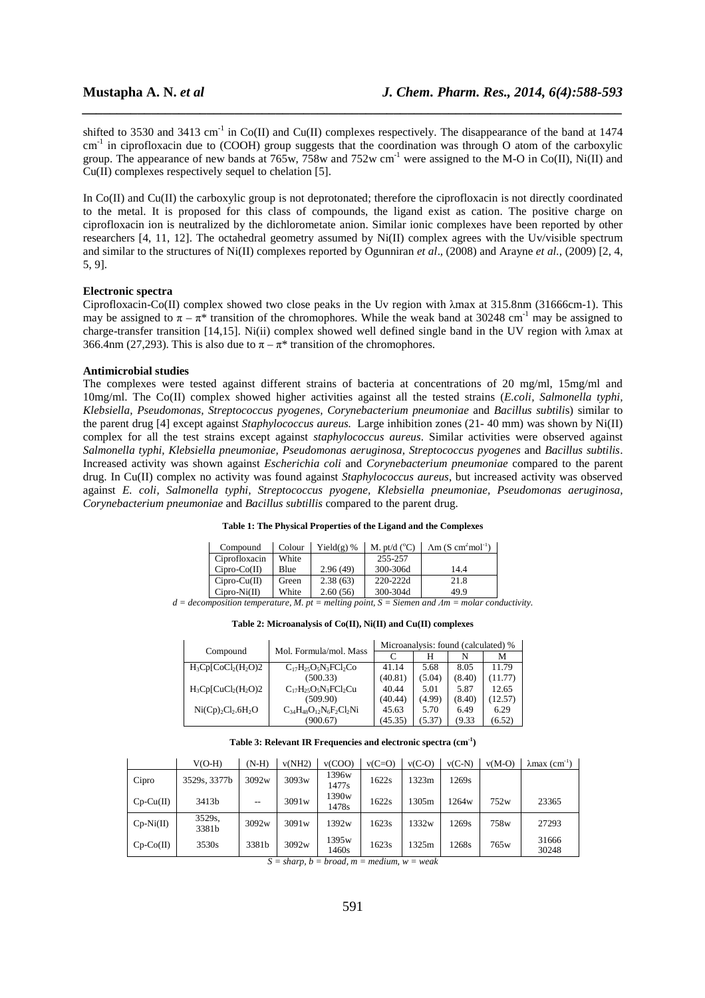shifted to 3530 and 3413 cm<sup>-1</sup> in Co(II) and Cu(II) complexes respectively. The disappearance of the band at 1474 cm-1 in ciprofloxacin due to (COOH) group suggests that the coordination was through O atom of the carboxylic group. The appearance of new bands at  $765w$ ,  $758w$  and  $752w$  cm<sup>-1</sup> were assigned to the M-O in Co(II), Ni(II) and Cu(II) complexes respectively sequel to chelation [5].

*\_\_\_\_\_\_\_\_\_\_\_\_\_\_\_\_\_\_\_\_\_\_\_\_\_\_\_\_\_\_\_\_\_\_\_\_\_\_\_\_\_\_\_\_\_\_\_\_\_\_\_\_\_\_\_\_\_\_\_\_\_\_\_\_\_\_\_\_\_\_\_\_\_\_\_\_\_\_*

In Co(II) and Cu(II) the carboxylic group is not deprotonated; therefore the ciprofloxacin is not directly coordinated to the metal. It is proposed for this class of compounds, the ligand exist as cation. The positive charge on ciprofloxacin ion is neutralized by the dichlorometate anion. Similar ionic complexes have been reported by other researchers [4, 11, 12]. The octahedral geometry assumed by Ni(II) complex agrees with the Uv/visible spectrum and similar to the structures of Ni(II) complexes reported by Ogunniran *et al*., (2008) and Arayne *et al.*, (2009) [2, 4, 5, 9].

#### **Electronic spectra**

Ciprofloxacin-Co(II) complex showed two close peaks in the Uv region with λmax at 315.8nm (31666cm-1). This may be assigned to  $\pi - \pi^*$  transition of the chromophores. While the weak band at 30248 cm<sup>-1</sup> may be assigned to charge-transfer transition [14,15]. Ni(ii) complex showed well defined single band in the UV region with λmax at 366.4nm (27,293). This is also due to  $\pi - \pi^*$  transition of the chromophores.

#### **Antimicrobial studies**

The complexes were tested against different strains of bacteria at concentrations of 20 mg/ml, 15mg/ml and 10mg/ml. The Co(II) complex showed higher activities against all the tested strains (*E.coli, Salmonella typhi, Klebsiella, Pseudomonas, Streptococcus pyogenes, Corynebacterium pneumoniae* and *Bacillus subtili*s) similar to the parent drug [4] except against *Staphylococcus aureus.* Large inhibition zones (21- 40 mm) was shown by Ni(II) complex for all the test strains except against *staphylococcus aureus*. Similar activities were observed against *Salmonella typhi, Klebsiella pneumoniae, Pseudomonas aeruginosa, Streptococcus pyogenes* and *Bacillus subtilis*. Increased activity was shown against *Escherichia coli* and *Corynebacterium pneumoniae* compared to the parent drug. In Cu(II) complex no activity was found against *Staphylococcus aureus*, but increased activity was observed against *E. coli, Salmonella typhi, Streptococcus pyogene, Klebsiella pneumoniae, Pseudomonas aeruginosa, Corynebacterium pneumoniae* and *Bacillus subtillis* compared to the parent drug.

#### **Table 1: The Physical Properties of the Ligand and the Complexes**

| Compound       | Colour | Yield $(g)$ % | M. pt/d $(^{\circ}C)$ | $\text{Am (S cm}^2 \text{mol}^{-1})$ |
|----------------|--------|---------------|-----------------------|--------------------------------------|
| Ciprofloxacin  | White  |               | 255-257               |                                      |
| $Cipro-Co(II)$ | Blue   | 2.96(49)      | 300-306d              | 14.4                                 |
| $Cipro-Cu(II)$ | Green  | 2.38(63)      | 220-222d              | 21.8                                 |
| $Cipro-Ni(II)$ | White  | 2.60(56)      | 300-304d              | 49.9                                 |

*d = decomposition temperature, M. pt = melting point, S = Siemen and Λm = molar conductivity.* 

**Table 2: Microanalysis of Co(II), Ni(II) and Cu(II) complexes** 

| Compound                   | Mol. Formula/mol. Mass           | Microanalysis: found (calculated) % |        |        |         |  |  |  |
|----------------------------|----------------------------------|-------------------------------------|--------|--------|---------|--|--|--|
|                            |                                  | C                                   | Н      |        | М       |  |  |  |
| $H_3Cp[CoCl2(H2O)2]$       | $C_{17}H_{25}O_5N_3FCl_2Co$      | 41.14                               | 5.68   | 8.05   | 11.79   |  |  |  |
|                            | (500.33)                         | (40.81)                             | (5.04) | (8.40) | (11.77) |  |  |  |
| $H_3Cp[CuCl2(H2O)2]$       | $C_{17}H_{25}O_5N_3FCl_2Cu$      | 40.44                               | 5.01   | 5.87   | 12.65   |  |  |  |
|                            | (509.90)                         | (40.44)                             | (4.99) | (8.40) | (12.57) |  |  |  |
| $Ni(Cp)_{2}Cl_{2}.6H_{2}O$ | $C_{34}H_{48}O_{12}N_6F_2Cl_2Ni$ | 45.63                               | 5.70   | 6.49   | 6.29    |  |  |  |
|                            | (900.67)                         | (45.35)                             | (5.37) | (9.33  | (6.52)  |  |  |  |

#### **Table 3: Relevant IR Frequencies and electronic spectra (cm-1)**

|             | $V(O-H)$        | $(N-H)$ | v(NH2) | v(COO)                     | $v(C=O)$ | $v(C-O)$ | $v(C-N)$ | $v(M-O)$ | $\lambda$ max (cm <sup>-1</sup> ) |
|-------------|-----------------|---------|--------|----------------------------|----------|----------|----------|----------|-----------------------------------|
| Cipro       | 3529s, 3377b    | 3092w   | 3093w  | 1396w<br>1477s             | 1622s    | 1323m    | 1269s    |          |                                   |
| $Cp-Cu(II)$ | 3413b           | $ -$    | 3091w  | 1390 <sub>w</sub><br>1478s | 1622s    | 1305m    | 1264w    | 752w     | 23365                             |
| $Cp-Ni(II)$ | 3529s,<br>3381b | 3092w   | 3091w  | 1392w                      | 1623s    | 1332w    | 1269s    | 758w     | 27293                             |
| $Cp-Co(II)$ | 3530s           | 3381b   | 3092w  | 1395w<br>1460s             | 1623s    | 1325m    | 1268s    | 765w     | 31666<br>30248                    |

 $S = sharp, b = broad, m = medium, w = weak$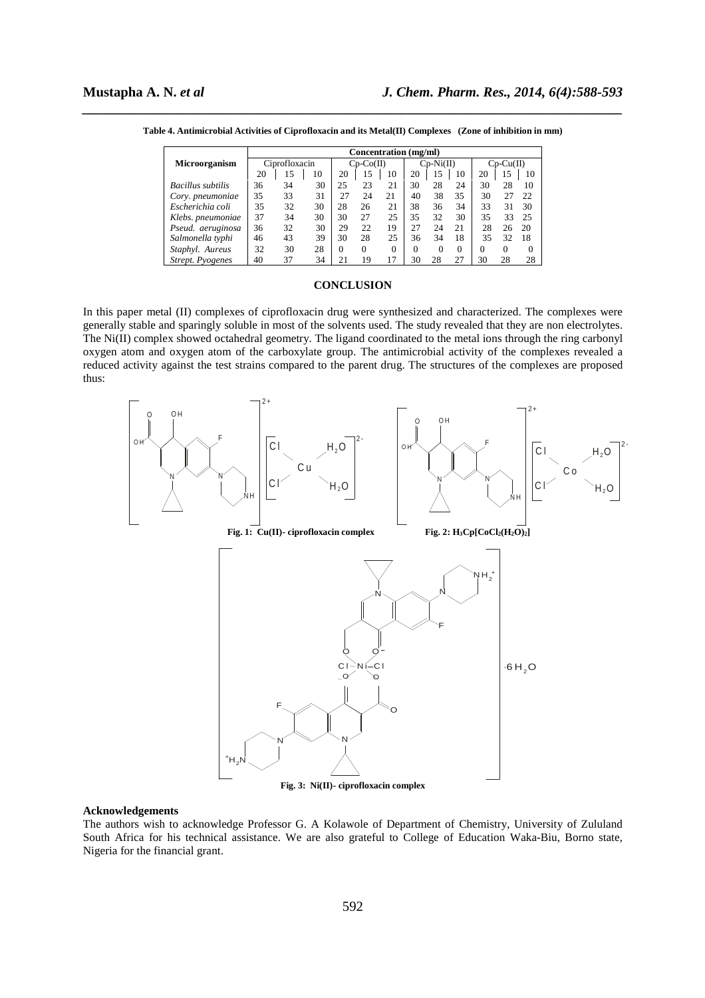|                          | Concentration (mg/ml) |    |    |             |          |          |             |          |          |             |          |    |
|--------------------------|-----------------------|----|----|-------------|----------|----------|-------------|----------|----------|-------------|----------|----|
| <b>Microorganism</b>     | Ciprofloxacin         |    |    | $Co-Co(II)$ |          |          | $Cp-Ni(II)$ |          |          | $Cp-Cu(II)$ |          |    |
|                          | 20                    | 15 | 10 | 20          | 15       | 10       | 20          | 15       | 10       | 20          | 15       | 10 |
| <b>Bacillus</b> subtilis | 36                    | 34 | 30 | 25          | 23       | 21       | 30          | 28       | 24       | 30          | 28       | 10 |
| Cory. pneumoniae         | 35                    | 33 | 31 | 27          | 24       | 21       | 40          | 38       | 35       | 30          | 27       | 22 |
| Escherichia coli         | 35                    | 32 | 30 | 28          | 26       | 21       | 38          | 36       | 34       | 33          | 31       | 30 |
| Klebs. pneumoniae        | 37                    | 34 | 30 | 30          | 27       | 25       | 35          | 32       | 30       | 35          | 33       | 25 |
| Pseud, aeruginosa        | 36                    | 32 | 30 | 29          | 22       | 19       | 27          | 24       | 21       | 28          | 26       | 20 |
| Salmonella typhi         | 46                    | 43 | 39 | 30          | 28       | 25       | 36          | 34       | 18       | 35          | 32       | 18 |
| Staphyl. Aureus          | 32                    | 30 | 28 | 0           | $\Omega$ | $\Omega$ | $\Omega$    | $\Omega$ | $\Omega$ | 0           | $\Omega$ |    |
| <b>Strept.</b> Pyogenes  | 40                    | 37 | 34 | 21          | 19       |          | 30          | 28       | 27       | 30          | 28       | 28 |

*\_\_\_\_\_\_\_\_\_\_\_\_\_\_\_\_\_\_\_\_\_\_\_\_\_\_\_\_\_\_\_\_\_\_\_\_\_\_\_\_\_\_\_\_\_\_\_\_\_\_\_\_\_\_\_\_\_\_\_\_\_\_\_\_\_\_\_\_\_\_\_\_\_\_\_\_\_\_* **Table 4. Antimicrobial Activities of Ciprofloxacin and its Metal(II) Complexes (Zone of inhibition in mm)** 

#### **CONCLUSION**

In this paper metal (II) complexes of ciprofloxacin drug were synthesized and characterized. The complexes were generally stable and sparingly soluble in most of the solvents used. The study revealed that they are non electrolytes. The Ni(II) complex showed octahedral geometry. The ligand coordinated to the metal ions through the ring carbonyl oxygen atom and oxygen atom of the carboxylate group. The antimicrobial activity of the complexes revealed a reduced activity against the test strains compared to the parent drug. The structures of the complexes are proposed thus:



#### **Acknowledgements**

The authors wish to acknowledge Professor G. A Kolawole of Department of Chemistry, University of Zululand South Africa for his technical assistance. We are also grateful to College of Education Waka-Biu, Borno state, Nigeria for the financial grant.